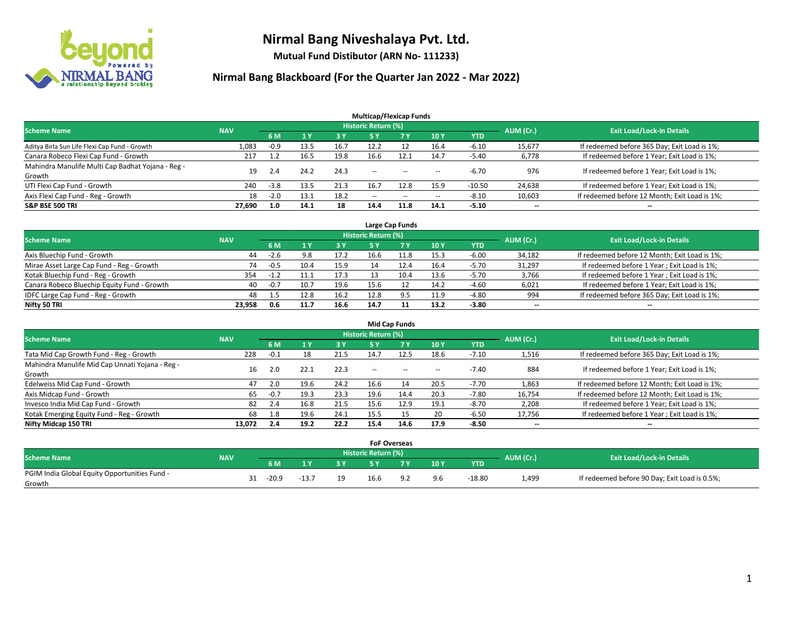

**Mutual Fund Distibutor (ARN No- 111233)**

|                                                   |            |        |      |           | <b>Multicap/Flexicap Funds</b> |           |                          |          |                          |                                               |
|---------------------------------------------------|------------|--------|------|-----------|--------------------------------|-----------|--------------------------|----------|--------------------------|-----------------------------------------------|
| <b>Scheme Name</b>                                | <b>NAV</b> |        |      |           | <b>Historic Return (%)</b>     |           |                          |          | AUM (Cr.)                | <b>Exit Load/Lock-in Details</b>              |
|                                                   |            | 6 M    |      | <b>3Y</b> | 5 Y                            | <b>7Y</b> | 10Y                      | YTD      |                          |                                               |
| Aditya Birla Sun Life Flexi Cap Fund - Growth     | 1,083      | $-0.9$ | 13.5 | 16.7      | 12.2                           |           | 16.4                     | $-6.10$  | 15,677                   | If redeemed before 365 Day; Exit Load is 1%;  |
| Canara Robeco Flexi Cap Fund - Growth             | 217        |        | 16.5 | 19.8      | 16.6                           | 12.1      | 14.7                     | $-5.40$  | 6,778                    | If redeemed before 1 Year; Exit Load is 1%;   |
| Mahindra Manulife Multi Cap Badhat Yojana - Reg - | 19         | 2.4    | 24.2 | 24.3      | $\sim$ $\sim$                  | $-$       |                          | $-6.70$  | 976                      | If redeemed before 1 Year; Exit Load is 1%;   |
| Growth                                            |            |        |      |           |                                |           | $\!-$                    |          |                          |                                               |
| UTI Flexi Cap Fund - Growth                       | 240        | $-3.8$ | 13.5 | 21.3      | 16.7                           | 12.8      | 15.9                     | $-10.50$ | 24,638                   | If redeemed before 1 Year; Exit Load is 1%;   |
| Axis Flexi Cap Fund - Reg - Growth                | 18         | $-2.0$ | 13.1 | 18.2      | $\overline{\phantom{a}}$       | $\sim$    | $\overline{\phantom{a}}$ | $-8.10$  | 10,603                   | If redeemed before 12 Month; Exit Load is 1%; |
| <b>S&amp;P BSE 500 TRI</b>                        | 27.690     | 1.0    | 14.1 | 18        | 14.4                           | 11.8      | 14.1                     | $-5.10$  | $\overline{\phantom{a}}$ | $\overline{\phantom{a}}$                      |

| Large Cap Funds                             |            |        |      |      |                            |      |      |            |           |                                               |  |  |  |
|---------------------------------------------|------------|--------|------|------|----------------------------|------|------|------------|-----------|-----------------------------------------------|--|--|--|
| <b>Scheme Name</b>                          | <b>NAV</b> |        |      |      | <b>Historic Return (%)</b> |      |      |            | AUM (Cr.) | <b>Exit Load/Lock-in Details</b>              |  |  |  |
|                                             |            | 6 M    |      | 3 Y  |                            |      | 10Y  | <b>YTD</b> |           |                                               |  |  |  |
| Axis Bluechip Fund - Growth                 | 44         | $-2.6$ | 9.8  | 17.2 | 16.6                       | 11.8 | 15.3 | $-6.00$    | 34,182    | If redeemed before 12 Month; Exit Load is 1%; |  |  |  |
| Mirae Asset Large Cap Fund - Reg - Growth   | 74         | $-0.5$ | 10.4 | 15.9 | 14                         |      | 16.4 | $-5.70$    | 31,297    | If redeemed before 1 Year; Exit Load is 1%;   |  |  |  |
| Kotak Bluechip Fund - Reg - Growth          | 354        | $-1.2$ | 11.1 | 17.3 |                            | 10.4 | 13.6 | $-5.70$    | 3,766     | If redeemed before 1 Year; Exit Load is 1%;   |  |  |  |
| Canara Robeco Bluechip Equity Fund - Growth | 40         | $-0.7$ | 10.7 | 19.6 | 15.6                       |      | 14.2 | $-4.60$    | 6,021     | If redeemed before 1 Year; Exit Load is 1%;   |  |  |  |
| IDFC Large Cap Fund - Reg - Growth          | 48         | 1.5    | 12.8 | 16.2 | 12.8                       | 9.5  | 11.9 | $-4.80$    | 994       | If redeemed before 365 Day; Exit Load is 1%;  |  |  |  |
| Nifty 50 TRI                                | 23.958     | 0.6    | 11.7 | 16.6 | 14.7                       |      | 13.2 | $-3.80$    | $- -$     | $\overline{\phantom{a}}$                      |  |  |  |

| <b>Mid Cap Funds</b>                                      |            |        |      |      |                            |           |      |            |                          |                                               |  |  |  |
|-----------------------------------------------------------|------------|--------|------|------|----------------------------|-----------|------|------------|--------------------------|-----------------------------------------------|--|--|--|
| <b>Scheme Name</b>                                        | <b>NAV</b> |        |      |      | <b>Historic Return (%)</b> |           |      |            | AUM (Cr.)                | <b>Exit Load/Lock-in Details</b>              |  |  |  |
|                                                           |            | 6 M    |      | 3 Y  | 5 Y                        | <b>7Y</b> | 10Y  | <b>YTD</b> |                          |                                               |  |  |  |
| Tata Mid Cap Growth Fund - Reg - Growth                   | 228        | $-0.1$ | 18   | 21.5 | 14.7                       | 12.5      | 18.6 | $-7.10$    | 1,516                    | If redeemed before 365 Day; Exit Load is 1%;  |  |  |  |
| Mahindra Manulife Mid Cap Unnati Yojana - Reg -<br>Growth | 16         | 2.0    | 22.1 | 22.3 | $\sim$ $\sim$              | $\sim$    | $-$  | $-7.40$    | 884                      | If redeemed before 1 Year; Exit Load is 1%;   |  |  |  |
| Edelweiss Mid Cap Fund - Growth                           | 47         | 2.0    | 19.6 | 24.2 | 16.6                       | 14        | 20.5 | $-7.70$    | 1,863                    | If redeemed before 12 Month; Exit Load is 1%; |  |  |  |
| Axis Midcap Fund - Growth                                 | 65         | $-0.7$ | 19.3 | 23.3 | 19.6                       | 14.4      | 20.3 | $-7.80$    | 16,754                   | If redeemed before 12 Month; Exit Load is 1%; |  |  |  |
| Invesco India Mid Cap Fund - Growth                       | 82         | 2.4    | 16.8 | 21.5 | 15.6                       | 12.9      | 19.1 | $-8.70$    | 2,208                    | If redeemed before 1 Year; Exit Load is 1%;   |  |  |  |
| Kotak Emerging Equity Fund - Reg - Growth                 | 68         | 1.8    | 19.6 | 24.1 | 15.5                       | 15        | 20   | $-6.50$    | 17,756                   | If redeemed before 1 Year; Exit Load is 1%;   |  |  |  |
| Nifty Midcap 150 TRI                                      | 13.072     | 2.4    | 19.2 | 22.2 | 15.4                       | 14.6      | 17.9 | $-8.50$    | $\overline{\phantom{a}}$ | $-$                                           |  |  |  |

|                                               |            |         |         |    | <b>FoF Overseas</b>        |     |     |          |           |                                               |
|-----------------------------------------------|------------|---------|---------|----|----------------------------|-----|-----|----------|-----------|-----------------------------------------------|
| <b>Scheme Name</b>                            | <b>NAV</b> |         |         |    | <b>Historic Return (%)</b> |     |     |          | AUM (Cr.) | <b>Exit Load/Lock-in Details</b>              |
|                                               |            | 6 M     | ı v     | 3V |                            | 7 V | 10Y | YTD      |           |                                               |
| PGIM India Global Equity Opportunities Fund - |            | $-20.9$ | $-13.7$ | 19 | 16.6                       |     | 9.6 | $-18.80$ | 1,499     | If redeemed before 90 Day; Exit Load is 0.5%; |
| Growth                                        |            |         |         |    |                            |     |     |          |           |                                               |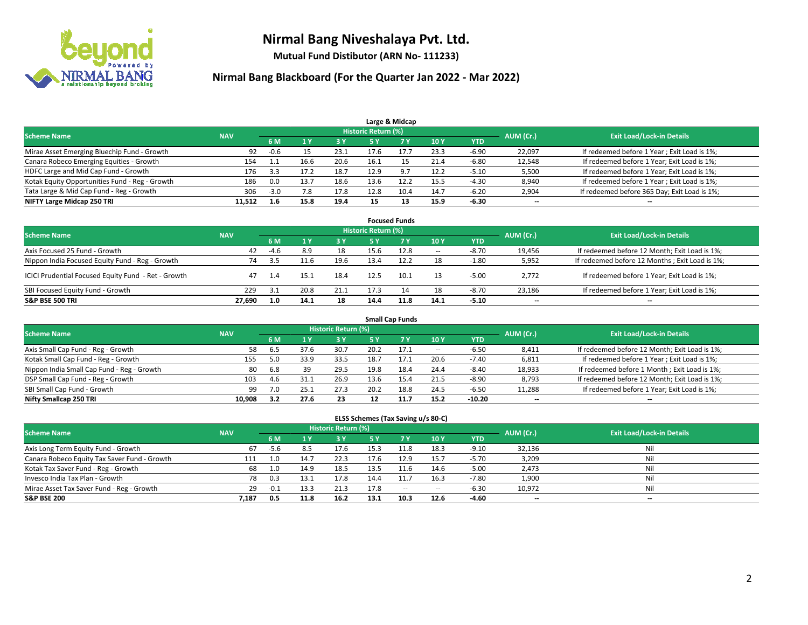

**Mutual Fund Distibutor (ARN No- 111233)**

| Large & Midcap                                 |            |        |      |      |                     |      |      |            |           |                                              |  |  |  |
|------------------------------------------------|------------|--------|------|------|---------------------|------|------|------------|-----------|----------------------------------------------|--|--|--|
| <b>Scheme Name</b>                             | <b>NAV</b> |        |      |      | Historic Return (%) |      |      |            | AUM (Cr.) | <b>Exit Load/Lock-in Details</b>             |  |  |  |
|                                                |            | 6 M    |      | 3 Y  | 5 ۷                 |      | 10Y  | <b>YTD</b> |           |                                              |  |  |  |
| Mirae Asset Emerging Bluechip Fund - Growth    | 92         | $-0.6$ |      | 23.1 | 17.6                |      | 23.3 | $-6.90$    | 22,097    | If redeemed before 1 Year; Exit Load is 1%;  |  |  |  |
| Canara Robeco Emerging Equities - Growth       | 154        |        | 16.6 | 20.6 | 16.1                |      | 21.4 | $-6.80$    | 12,548    | If redeemed before 1 Year; Exit Load is 1%;  |  |  |  |
| HDFC Large and Mid Cap Fund - Growth           | 176        | 3.3    | 17.7 | 18.7 | 12.9                | 9 7  | 12.2 | $-5.10$    | 5,500     | If redeemed before 1 Year; Exit Load is 1%;  |  |  |  |
| Kotak Equity Opportunities Fund - Reg - Growth | 186        | 0.0    | 13.7 | 18.6 | 13.6                |      | 15.5 | $-4.30$    | 8,940     | If redeemed before 1 Year; Exit Load is 1%;  |  |  |  |
| Tata Large & Mid Cap Fund - Reg - Growth       | 306        | $-3.0$ |      | 17.8 | 12.8                | 10.4 | 14.7 | $-6.20$    | 2,904     | If redeemed before 365 Day; Exit Load is 1%; |  |  |  |
| NIFTY Large Midcap 250 TRI                     | 11.512     | 1.6    | 15.8 | 19.4 | 15                  |      | 15.9 | $-6.30$    | $- -$     | $- -$                                        |  |  |  |

| <b>Focused Funds</b>                                |            |        |      |      |                            |      |        |            |           |                                                 |  |  |  |
|-----------------------------------------------------|------------|--------|------|------|----------------------------|------|--------|------------|-----------|-------------------------------------------------|--|--|--|
| <b>Scheme Name</b>                                  | <b>NAV</b> |        |      |      | <b>Historic Return (%)</b> |      |        |            | AUM (Cr.) | <b>Exit Load/Lock-in Details</b>                |  |  |  |
|                                                     |            | 6 M    |      | 3 Y  |                            | 7 Y. | 10Y    | <b>YTD</b> |           |                                                 |  |  |  |
| Axis Focused 25 Fund - Growth                       | 42         | $-4.6$ | 8.9  | 18   | 15.6                       | 12.8 | $\sim$ | $-8.70$    | 19,456    | If redeemed before 12 Month; Exit Load is 1%;   |  |  |  |
| Nippon India Focused Equity Fund - Reg - Growth     | 74         | 3.5    | 11.6 | 19.6 | 13.4                       | 12.2 | 18     | $-1.80$    | 5,952     | If redeemed before 12 Months ; Exit Load is 1%; |  |  |  |
| ICICI Prudential Focused Equity Fund - Ret - Growth | 47         |        | 15.1 | 18.4 | 12.5                       | 10.1 | 13     | $-5.00$    | 2.772     | If redeemed before 1 Year; Exit Load is 1%;     |  |  |  |
| SBI Focused Equity Fund - Growth                    | 229        | 3.1    | 20.8 | 21.1 | 17.3                       |      | 18     | $-8.70$    | 23,186    | If redeemed before 1 Year; Exit Load is 1%;     |  |  |  |
| <b>S&amp;P BSE 500 TRI</b>                          | 27.690     | 1.0    | 14.1 | 18   | 14.4                       | 11.8 | 14.1   | $-5.10$    | $- -$     | $\overline{\phantom{a}}$                        |  |  |  |

| <b>Small Cap Funds</b>                     |            |     |      |                            |      |      |        |          |                          |                                               |  |  |  |
|--------------------------------------------|------------|-----|------|----------------------------|------|------|--------|----------|--------------------------|-----------------------------------------------|--|--|--|
| <b>Scheme Name</b>                         | <b>NAV</b> |     |      | <b>Historic Return (%)</b> |      |      |        |          | AUM (Cr.)                | <b>Exit Load/Lock-in Details</b>              |  |  |  |
|                                            |            | 6 M |      | 3 Y                        |      | 7 Y  | 10Y    | YTD      |                          |                                               |  |  |  |
| Axis Small Cap Fund - Reg - Growth         | 58         | 6.5 | 37.6 | 30.7                       | 20.2 | 17.1 | $\sim$ | $-6.50$  | 8,411                    | If redeemed before 12 Month; Exit Load is 1%; |  |  |  |
| Kotak Small Cap Fund - Reg - Growth        | 155        | 5.0 | 33.9 | 33.5                       | 18.7 | 17.1 | 20.6   | $-7.40$  | 6,811                    | If redeemed before 1 Year; Exit Load is 1%;   |  |  |  |
| Nippon India Small Cap Fund - Reg - Growth | 80         | 6.8 | 39   | 29.5                       | 19.8 | 18.4 | 24.4   | $-8.40$  | 18,933                   | If redeemed before 1 Month; Exit Load is 1%;  |  |  |  |
| DSP Small Cap Fund - Reg - Growth          | 103        | 4.6 |      | 26.9                       | 13.6 | 15.4 | 21.5   | $-8.90$  | 8,793                    | If redeemed before 12 Month; Exit Load is 1%; |  |  |  |
| SBI Small Cap Fund - Growth                | 99         |     | 25.2 | 27.3                       | 20.2 | 18.8 | 24.5   | $-6.50$  | 11,288                   | If redeemed before 1 Year; Exit Load is 1%;   |  |  |  |
| Nifty Smallcap 250 TRI                     | 10.908     | 3.2 | 27.6 | 23                         |      |      | 15.2   | $-10.20$ | $\overline{\phantom{a}}$ | $-$                                           |  |  |  |

| ELSS Schemes (Tax Saving u/s 80-C)           |            |        |      |                            |      |           |        |            |                          |                                  |  |  |  |
|----------------------------------------------|------------|--------|------|----------------------------|------|-----------|--------|------------|--------------------------|----------------------------------|--|--|--|
| <b>Scheme Name</b>                           | <b>NAV</b> |        |      | <b>Historic Return (%)</b> |      |           |        |            | AUM (Cr.)                | <b>Exit Load/Lock-in Details</b> |  |  |  |
|                                              |            | 6 M    |      | 3 Y                        |      | <b>7Y</b> | 10Y    | <b>YTD</b> |                          |                                  |  |  |  |
| Axis Long Term Equity Fund - Growth          | 67         | -5.6   | 8.5  | 17.6                       | 15.3 | 11.8      | 18.3   | $-9.10$    | 32,136                   | Nil                              |  |  |  |
| Canara Robeco Equity Tax Saver Fund - Growth | 111        | 1.0    | 14.7 | 22.3                       | 17.6 | 12.9      | 15.7   | $-5.70$    | 3,209                    | Nil                              |  |  |  |
| Kotak Tax Saver Fund - Reg - Growth          | 68         | 1.0    | 14.9 | 18.5                       | 13.5 | 11.6      | 14.6   | $-5.00$    | 2,473                    | Nil                              |  |  |  |
| Invesco India Tax Plan - Growth              | 78         | 0.3    | 13.1 | 17.8                       | 14.4 |           | 16.3   | $-7.80$    | 1,900                    | Nil                              |  |  |  |
| Mirae Asset Tax Saver Fund - Reg - Growth    | 29         | $-0.1$ | 13.3 | 21.3                       | 17.8 | $\sim$    | $\sim$ | $-6.30$    | 10,972                   | Nil                              |  |  |  |
| <b>S&amp;P BSE 200</b>                       | 7,187      | 0.5    | 11.8 | 16.2                       | 13.1 | 10.3      | 12.6   | $-4.60$    | $\overline{\phantom{a}}$ | $- -$                            |  |  |  |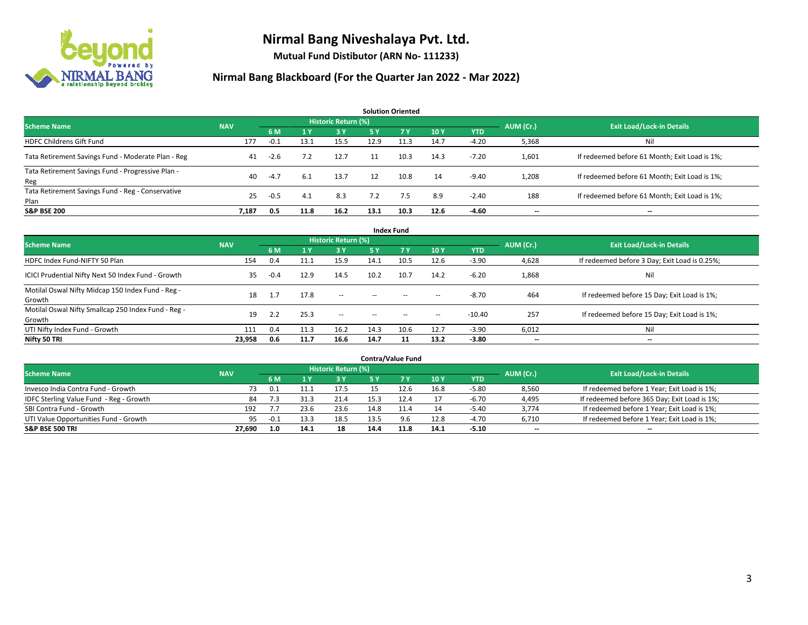

**Mutual Fund Distibutor (ARN No- 111233)**

| <b>Solution Oriented</b>                                  |            |        |      |                            |           |      |      |            |           |                                               |  |  |  |
|-----------------------------------------------------------|------------|--------|------|----------------------------|-----------|------|------|------------|-----------|-----------------------------------------------|--|--|--|
| <b>Scheme Name</b>                                        | <b>NAV</b> |        |      | <b>Historic Return (%)</b> |           |      |      |            | AUM (Cr.) | <b>Exit Load/Lock-in Details</b>              |  |  |  |
|                                                           |            | 6 M    | 1 Y  | 3 Y                        | <b>5Y</b> | 7 Y  | 10Y  | <b>YTD</b> |           |                                               |  |  |  |
| <b>HDFC Childrens Gift Fund</b>                           | 177        | $-0.1$ | 13.1 | 15.5                       | 12.9      | 11.3 | 14.7 | $-4.20$    | 5,368     | Nil                                           |  |  |  |
| Tata Retirement Savings Fund - Moderate Plan - Reg        | 41         | $-2.6$ | 7.2  | 12.7                       | 11        | 10.3 | 14.3 | $-7.20$    | 1,601     | If redeemed before 61 Month; Exit Load is 1%; |  |  |  |
| Tata Retirement Savings Fund - Progressive Plan -<br>Reg  | 40         | $-4.7$ | 6.1  | 13.7                       | 12        | 10.8 | 14   | $-9.40$    | 1,208     | If redeemed before 61 Month; Exit Load is 1%; |  |  |  |
| Tata Retirement Savings Fund - Reg - Conservative<br>Plan | 25         | $-0.5$ | 4.1  | 8.3                        | 7.2       | 7.5  | 8.9  | $-2.40$    | 188       | If redeemed before 61 Month; Exit Load is 1%; |  |  |  |
| <b>S&amp;P BSE 200</b>                                    | 7,187      | 0.5    | 11.8 | 16.2                       | 13.1      | 10.3 | 12.6 | $-4.60$    | --        | $- -$                                         |  |  |  |

| <b>Index Fund</b>                                             |            |        |      |                            |               |           |                   |            |                          |                                               |  |  |  |
|---------------------------------------------------------------|------------|--------|------|----------------------------|---------------|-----------|-------------------|------------|--------------------------|-----------------------------------------------|--|--|--|
| <b>Scheme Name</b>                                            | <b>NAV</b> |        |      | <b>Historic Return (%)</b> |               |           |                   |            | AUM (Cr.)                | <b>Exit Load/Lock-in Details</b>              |  |  |  |
|                                                               |            | 6 M    | 1Y   | 3 Y                        | <b>5Y</b>     | <b>7Y</b> | 10Y               | <b>YTD</b> |                          |                                               |  |  |  |
| HDFC Index Fund-NIFTY 50 Plan                                 | 154        | 0.4    | 11.1 | 15.9                       | 14.1          | 10.5      | 12.6              | $-3.90$    | 4,628                    | If redeemed before 3 Day; Exit Load is 0.25%; |  |  |  |
| ICICI Prudential Nifty Next 50 Index Fund - Growth            | 35         | $-0.4$ | 12.9 | 14.5                       | 10.2          | 10.7      | 14.2              | $-6.20$    | 1,868                    | Ni                                            |  |  |  |
| Motilal Oswal Nifty Midcap 150 Index Fund - Reg -<br>Growth   | 18         | 1.7    | 17.8 | $\sim$                     | $\sim$ $\sim$ | $\sim$    | $\hspace{0.05cm}$ | $-8.70$    | 464                      | If redeemed before 15 Day; Exit Load is 1%;   |  |  |  |
| Motilal Oswal Nifty Smallcap 250 Index Fund - Reg -<br>Growth | 19         | 2.2    | 25.3 | $\sim$                     | $\sim$        | $\sim$    | $\sim$            | -10.40     | 257                      | If redeemed before 15 Day; Exit Load is 1%;   |  |  |  |
| UTI Nifty Index Fund - Growth                                 | 111        | 0.4    | 11.3 | 16.2                       | 14.3          | 10.6      | 12.7              | $-3.90$    | 6,012                    | Ni                                            |  |  |  |
| Nifty 50 TRI                                                  | 23,958     | 0.6    | 11.7 | 16.6                       | 14.7          |           | 13.2              | $-3.80$    | $\overline{\phantom{a}}$ | $- -$                                         |  |  |  |

| <b>Contra/Value Fund</b>                |            |        |      |                     |      |      |      |         |           |                                              |  |  |  |
|-----------------------------------------|------------|--------|------|---------------------|------|------|------|---------|-----------|----------------------------------------------|--|--|--|
| <b>Scheme Name</b>                      | <b>NAV</b> |        |      | Historic Return (%) |      |      |      |         | AUM (Cr.) | <b>Exit Load/Lock-in Details</b>             |  |  |  |
|                                         |            | 6 M    |      | 3Y                  |      |      | 10Y  | YTD     |           |                                              |  |  |  |
| Invesco India Contra Fund - Growth      | 73         | - 0.1  |      | 17.5                |      | 12.6 | 16.8 | $-5.80$ | 8,560     | If redeemed before 1 Year; Exit Load is 1%;  |  |  |  |
| IDFC Sterling Value Fund - Reg - Growth | 84         | 7.3    | 31.3 | 21.4                | 15.3 |      | 17   | $-6.70$ | 4,495     | If redeemed before 365 Day; Exit Load is 1%; |  |  |  |
| SBI Contra Fund - Growth                | 192        |        | 23.6 | 23.6                | 14.8 |      | 14   | -5.40   | 3,774     | If redeemed before 1 Year; Exit Load is 1%;  |  |  |  |
| UTI Value Opportunities Fund - Growth   | 95         | $-0.1$ | 13.3 | 18.5                | 13.5 |      | 12.8 | $-4.70$ | 6,710     | If redeemed before 1 Year; Exit Load is 1%;  |  |  |  |
| <b>S&amp;P BSE 500 TRI</b>              | 27,690     | 1.0    | 14.1 | 18                  | 14.4 | 11.8 | 14.1 | $-5.10$ | $- -$     | $- -$                                        |  |  |  |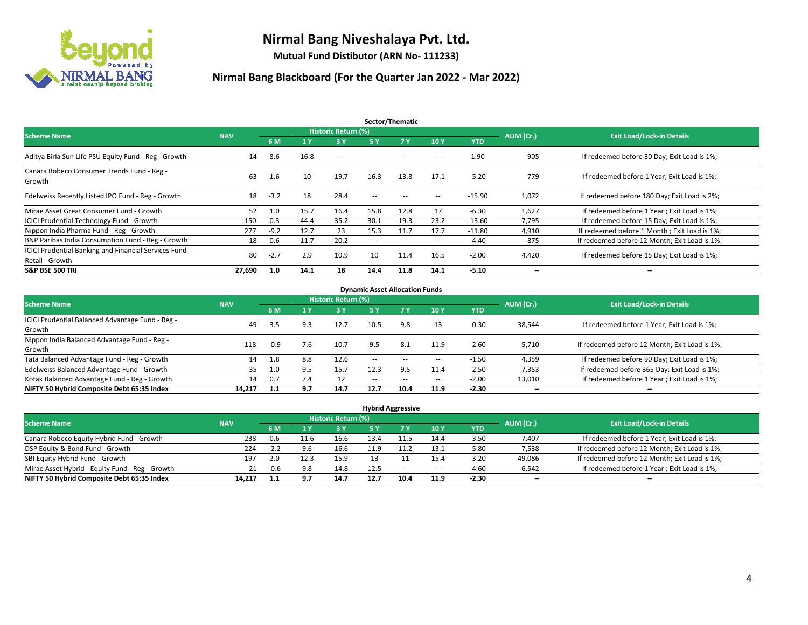

**Mutual Fund Distibutor (ARN No- 111233)**

| Sector/Thematic                                                           |            |         |      |                     |                          |                   |                          |            |                          |                                               |  |  |  |
|---------------------------------------------------------------------------|------------|---------|------|---------------------|--------------------------|-------------------|--------------------------|------------|--------------------------|-----------------------------------------------|--|--|--|
| <b>Scheme Name</b>                                                        | <b>NAV</b> |         |      | Historic Return (%) |                          |                   |                          |            | AUM (Cr.)                | <b>Exit Load/Lock-in Details</b>              |  |  |  |
|                                                                           |            | 6 M     | '1 Y | 3 Y                 | 5 Y                      | 7Y                | 10Y                      | <b>YTD</b> |                          |                                               |  |  |  |
| Aditya Birla Sun Life PSU Equity Fund - Reg - Growth                      | 14         | 8.6     | 16.8 | $\sim$ $-$          | $\sim$ $\sim$            | --                | $\overline{\phantom{a}}$ | 1.90       | 905                      | If redeemed before 30 Day; Exit Load is 1%;   |  |  |  |
| Canara Robeco Consumer Trends Fund - Reg -<br>Growth                      | 63         | $1.6\,$ | 10   | 19.7                | 16.3                     | 13.8              | 17.1                     | $-5.20$    | 779                      | If redeemed before 1 Year; Exit Load is 1%;   |  |  |  |
| Edelweiss Recently Listed IPO Fund - Reg - Growth                         | 18         | $-3.2$  | 18   | 28.4                | $\overline{\phantom{a}}$ | $\hspace{0.05cm}$ | --                       | $-15.90$   | 1,072                    | If redeemed before 180 Day; Exit Load is 2%;  |  |  |  |
| Mirae Asset Great Consumer Fund - Growth                                  | 52         | 1.0     | 15.7 | 16.4                | 15.8                     | 12.8              | 17                       | $-6.30$    | 1,627                    | If redeemed before 1 Year; Exit Load is 1%;   |  |  |  |
| <b>ICICI Prudential Technology Fund - Growth</b>                          | 150        | 0.3     | 44.4 | 35.2                | 30.1                     | 19.3              | 23.2                     | $-13.60$   | 7,795                    | If redeemed before 15 Day; Exit Load is 1%;   |  |  |  |
| Nippon India Pharma Fund - Reg - Growth                                   | 277        | $-9.2$  | 12.7 | 23                  | 15.3                     | 11.7              | 17.7                     | $-11.80$   | 4,910                    | If redeemed before 1 Month; Exit Load is 1%;  |  |  |  |
| BNP Paribas India Consumption Fund - Reg - Growth                         | 18         | 0.6     | 11.7 | 20.2                | $\overline{\phantom{a}}$ | $\sim$            | $\hspace{0.05cm} \ldots$ | -4.40      | 875                      | If redeemed before 12 Month; Exit Load is 1%; |  |  |  |
| ICICI Prudential Banking and Financial Services Fund -<br>Retail - Growth | 80         | $-2.7$  | 2.9  | 10.9                | 10                       | 11.4              | 16.5                     | $-2.00$    | 4,420                    | If redeemed before 15 Day; Exit Load is 1%;   |  |  |  |
| <b>S&amp;P BSE 500 TRI</b>                                                | 27.690     | 1.0     | 14.1 | 18                  | 14.4                     | 11.8              | 14.1                     | $-5.10$    | $\overline{\phantom{a}}$ | $\overline{\phantom{a}}$                      |  |  |  |

| <b>Dynamic Asset Allocation Funds</b>            |            |        |     |                     |        |                          |                          |         |                          |                                               |  |  |  |
|--------------------------------------------------|------------|--------|-----|---------------------|--------|--------------------------|--------------------------|---------|--------------------------|-----------------------------------------------|--|--|--|
| <b>Scheme Name</b>                               | <b>NAV</b> |        |     | Historic Return (%) |        |                          |                          |         | AUM (Cr.)                | <b>Exit Load/Lock-in Details</b>              |  |  |  |
|                                                  |            | 6 M    | 4 Y | 3 Y                 | 5 Y    | 7Y                       | 10Y                      | YTD     |                          |                                               |  |  |  |
| ICICI Prudential Balanced Advantage Fund - Reg - |            |        |     | 12.7                | 10.5   |                          |                          |         |                          |                                               |  |  |  |
| Growth                                           | 49         | 3.5    | 9.3 |                     |        | 9.8                      | 13                       | $-0.30$ | 38,544                   | If redeemed before 1 Year; Exit Load is 1%;   |  |  |  |
| Nippon India Balanced Advantage Fund - Reg -     | 118        | $-0.9$ | 7.6 |                     | 9.5    | 8.1                      |                          | $-2.60$ |                          |                                               |  |  |  |
| Growth                                           |            |        |     | 10.7                |        |                          | 11.9                     |         | 5,710                    | If redeemed before 12 Month; Exit Load is 1%; |  |  |  |
| Tata Balanced Advantage Fund - Reg - Growth      | 14         | 1.8    | 8.8 | 12.6                | $\sim$ | $\overline{\phantom{a}}$ | $\hspace{0.05cm} \cdots$ | $-1.50$ | 4,359                    | If redeemed before 90 Day; Exit Load is 1%;   |  |  |  |
| Edelweiss Balanced Advantage Fund - Growth       | 35         | 1.0    | 9.5 | 15.7                | 12.3   | 9.5                      | 11.4                     | $-2.50$ | 7,353                    | If redeemed before 365 Day; Exit Load is 1%;  |  |  |  |
| Kotak Balanced Advantage Fund - Reg - Growth     | 14         | 0.7    | 7.4 | -12                 | $-$    | $- -$                    | $\overline{\phantom{a}}$ | $-2.00$ | 13,010                   | If redeemed before 1 Year; Exit Load is 1%;   |  |  |  |
| NIFTY 50 Hybrid Composite Debt 65:35 Index       | 14.217     | 1.1    | 9.7 | 14.7                | 12.7   | 10.4                     | 11.9                     | $-2.30$ | $\overline{\phantom{a}}$ | $\overline{\phantom{a}}$                      |  |  |  |

| <b>Hybrid Aggressive</b>                        |            |        |      |                            |      |        |                          |         |                          |                                               |  |  |  |
|-------------------------------------------------|------------|--------|------|----------------------------|------|--------|--------------------------|---------|--------------------------|-----------------------------------------------|--|--|--|
| <b>Scheme Name</b>                              | <b>NAV</b> |        |      | <b>Historic Return (%)</b> |      |        |                          |         | AUM (Cr.)                | <b>Exit Load/Lock-in Details</b>              |  |  |  |
|                                                 |            | 6 M    |      | 3V                         | 5 Y  |        | 10Y                      | YTD     |                          |                                               |  |  |  |
| Canara Robeco Equity Hybrid Fund - Growth       | 238        | 0.6    | 11.6 | 16.6                       |      |        | 14.4                     | $-3.50$ | 7,407                    | If redeemed before 1 Year; Exit Load is 1%;   |  |  |  |
| DSP Equity & Bond Fund - Growth                 | 224        | $-2.2$ | 9.6  | 16.6                       | 11.9 | 11.2   | 13.1                     | -5.80   | 7,538                    | If redeemed before 12 Month; Exit Load is 1%; |  |  |  |
| SBI Equity Hybrid Fund - Growth                 | 197        | 2.0    | 12.3 | 15.9                       |      |        | 15.4                     | $-3.20$ | 49,086                   | If redeemed before 12 Month; Exit Load is 1%; |  |  |  |
| Mirae Asset Hybrid - Equity Fund - Reg - Growth | 21         | $-0.6$ | 9.8  | 14.8                       | 12.5 | $\sim$ | $\overline{\phantom{a}}$ | $-4.60$ | 6,542                    | If redeemed before 1 Year; Exit Load is 1%;   |  |  |  |
| NIFTY 50 Hybrid Composite Debt 65:35 Index      | 14,217     | 1.1    | 9.7  | 14.7                       | 12.7 | 10.4   | 11.9                     | $-2.30$ | $\overline{\phantom{a}}$ | $\overline{\phantom{a}}$                      |  |  |  |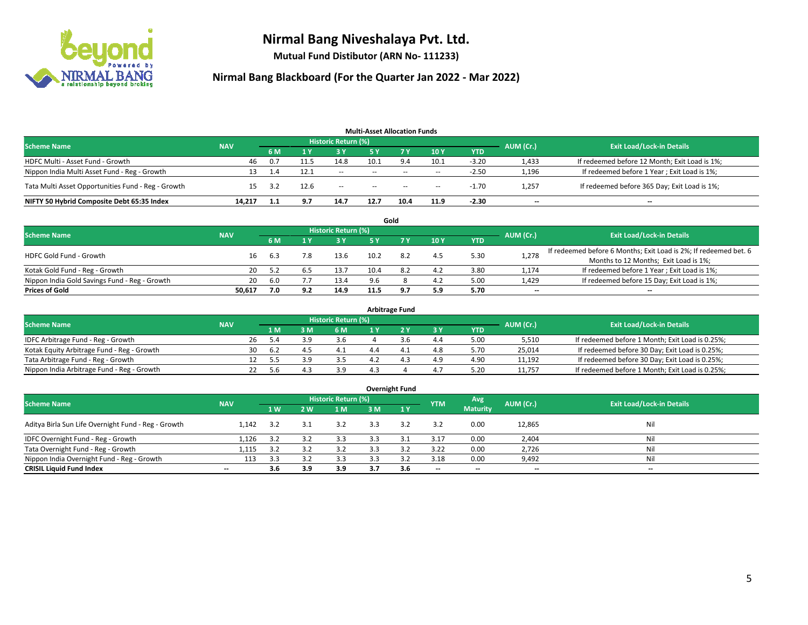

**Mutual Fund Distibutor (ARN No- 111233)**

| <b>Multi-Asset Allocation Funds</b>                |            |     |      |                            |                          |           |                          |            |                          |                                               |  |  |  |
|----------------------------------------------------|------------|-----|------|----------------------------|--------------------------|-----------|--------------------------|------------|--------------------------|-----------------------------------------------|--|--|--|
| <b>Scheme Name</b>                                 | <b>NAV</b> |     |      | <b>Historic Return (%)</b> |                          |           |                          |            | AUM (Cr.)                | <b>Exit Load/Lock-in Details</b>              |  |  |  |
|                                                    |            | 6 M |      | <b>3 Y</b>                 | 5 Y                      | <b>7Y</b> | 10Y                      | <b>YTD</b> |                          |                                               |  |  |  |
| HDFC Multi - Asset Fund - Growth                   | 46         | 0.7 |      | 14.8                       | 10.1                     | 9.4       | 10.1                     | $-3.20$    | 1,433                    | If redeemed before 12 Month; Exit Load is 1%; |  |  |  |
| Nippon India Multi Asset Fund - Reg - Growth       | 13         | 1.4 | 12.1 | $\sim$                     | $\sim$                   | $\sim$    | $\overline{\phantom{a}}$ | $-2.50$    | 1,196                    | If redeemed before 1 Year; Exit Load is 1%;   |  |  |  |
| Tata Multi Asset Opportunities Fund - Reg - Growth | 15         | 3.2 | 12.6 | $\sim$ $-$                 | $\overline{\phantom{a}}$ | $-$       | $- -$                    | $-1.70$    | 1,257                    | If redeemed before 365 Day; Exit Load is 1%;  |  |  |  |
| NIFTY 50 Hybrid Composite Debt 65:35 Index         | 14.217     | 1.1 | 9.7  | 14.7                       | 12.7                     | 10.4      | 11.9                     | $-2.30$    | $\overline{\phantom{a}}$ | --                                            |  |  |  |

|                                               |            |      |     |                            |      | Gold |     |            |           |                                                                  |
|-----------------------------------------------|------------|------|-----|----------------------------|------|------|-----|------------|-----------|------------------------------------------------------------------|
| <b>Scheme Name</b>                            | <b>NAV</b> |      |     | <b>Historic Return (%)</b> |      |      |     |            | AUM (Cr.) | <b>Exit Load/Lock-in Details</b>                                 |
|                                               |            |      |     | 3 Y                        |      |      | 10Y | <b>YTD</b> |           |                                                                  |
| <b>HDFC Gold Fund - Growth</b>                | 16         | 6.3  |     | 13.6                       | 10.2 | 8.2  | 4.5 | 5.30       | 1,278     | If redeemed before 6 Months; Exit Load is 2%; If redeemed bet. 6 |
|                                               |            |      |     |                            |      |      |     |            |           | Months to 12 Months; Exit Load is 1%;                            |
| Kotak Gold Fund - Reg - Growth                | 20         | 5.2  |     | 13.7                       | 10.4 | 8.2  | 4.2 | 3.80       | 1,174     | If redeemed before 1 Year; Exit Load is 1%;                      |
| Nippon India Gold Savings Fund - Reg - Growth | 20         | -6.0 |     | 13.4                       | 9.6  |      | 4.2 | 5.00       | 1,429     | If redeemed before 15 Day; Exit Load is 1%;                      |
| <b>Prices of Gold</b>                         | 50.617     | 7.0  | 9.2 | 14.9                       | 11.5 | -97  | 5.9 | 5.70       | $- -$     | $\overline{\phantom{a}}$                                         |

| <b>Arbitrage Fund</b>                      |            |           |                                  |     |     |  |  |     |            |        |                                                 |  |  |
|--------------------------------------------|------------|-----------|----------------------------------|-----|-----|--|--|-----|------------|--------|-------------------------------------------------|--|--|
| <b>Scheme Name</b>                         | <b>NAV</b> | AUM (Cr.) | <b>Exit Load/Lock-in Details</b> |     |     |  |  |     |            |        |                                                 |  |  |
|                                            |            |           | 1 M                              | : M | 6 M |  |  | 3 Y | <b>YTD</b> |        |                                                 |  |  |
| IDFC Arbitrage Fund - Reg - Growth         |            | 26        | 5.4                              |     | 3.6 |  |  | 4.4 | 5.00       | 5,510  | If redeemed before 1 Month; Exit Load is 0.25%; |  |  |
| Kotak Equity Arbitrage Fund - Reg - Growth |            | 30        | -6.2                             | 4   |     |  |  | 4.8 | 5.70       | 25.014 | If redeemed before 30 Day; Exit Load is 0.25%;  |  |  |
| Tata Arbitrage Fund - Reg - Growth         |            |           |                                  |     |     |  |  | 4.9 | 4.90       | 11.192 | If redeemed before 30 Day; Exit Load is 0.25%;  |  |  |
| Nippon India Arbitrage Fund - Reg - Growth |            |           |                                  |     | 3.9 |  |  | 4.7 | 5.20       | 11.757 | If redeemed before 1 Month; Exit Load is 0.25%; |  |  |

|                                                     |                          |     |     |                            |     | <b>Overnight Fund</b> |                          |                 |                          |                                  |
|-----------------------------------------------------|--------------------------|-----|-----|----------------------------|-----|-----------------------|--------------------------|-----------------|--------------------------|----------------------------------|
| <b>Scheme Name</b>                                  | <b>NAV</b>               |     |     | <b>Historic Return (%)</b> |     |                       | <b>YTM</b>               | Avg             | AUM (Cr.)                | <b>Exit Load/Lock-in Details</b> |
|                                                     |                          | 1W  | 2 W | 1 M                        | 3 M | 1Y                    |                          | <b>Maturity</b> |                          |                                  |
| Aditya Birla Sun Life Overnight Fund - Reg - Growth | 1.142                    | 3.2 | 3.1 | 3.2                        | 3.3 | 3.2                   | 3.2                      | 0.00            | 12,865                   | Nil                              |
| IDFC Overnight Fund - Reg - Growth                  | 1,126                    | 3.2 | 3.2 | 3.3                        | 3.3 | 3.1                   | 3.17                     | 0.00            | 2,404                    | Nil                              |
| Tata Overnight Fund - Reg - Growth                  | 1,115                    | 3.2 |     | 3.2                        | 3.3 |                       | 3.22                     | 0.00            | 2,726                    | Nil                              |
| Nippon India Overnight Fund - Reg - Growth          | 113                      | 3.3 |     | 3.3                        |     |                       | 3.18                     | 0.00            | 9,492                    | Nil                              |
| <b>CRISIL Liquid Fund Index</b>                     | $\overline{\phantom{a}}$ | 3.6 | 3.9 | 3.9                        | 3.7 | 3.6                   | $\overline{\phantom{a}}$ | $- -$           | $\overline{\phantom{a}}$ | $-$                              |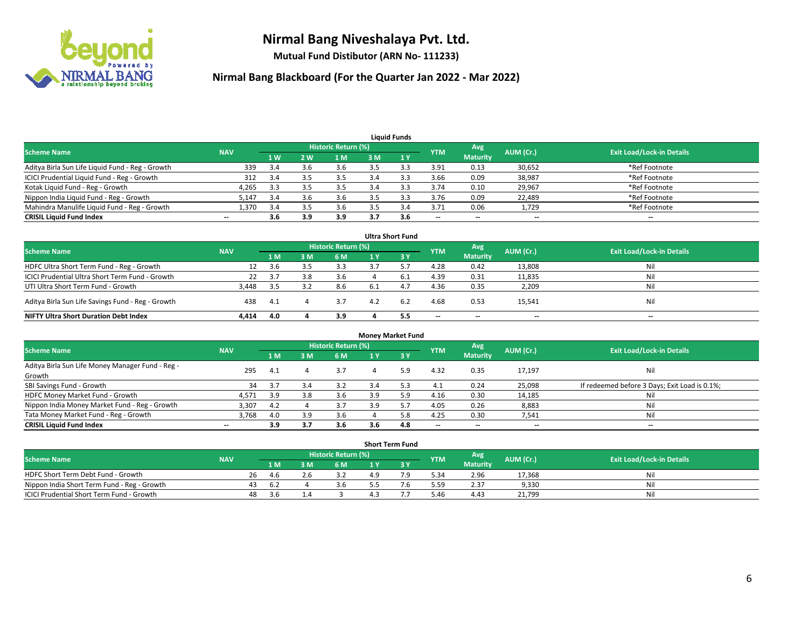

**Mutual Fund Distibutor (ARN No- 111233)**

| <b>Liauid Funds</b>                              |            |     |     |                     |     |     |            |                          |           |                                  |  |  |  |
|--------------------------------------------------|------------|-----|-----|---------------------|-----|-----|------------|--------------------------|-----------|----------------------------------|--|--|--|
| <b>Scheme Name</b>                               | <b>NAV</b> |     |     | Historic Return (%) |     |     | <b>YTM</b> | Avg                      | AUM (Cr.) | <b>Exit Load/Lock-in Details</b> |  |  |  |
|                                                  |            | 1W  | 2 W | 1 M                 | 3 M |     |            | <b>Maturity</b>          |           |                                  |  |  |  |
| Aditya Birla Sun Life Liquid Fund - Reg - Growth | 339        | 3.4 |     | 3.6                 |     |     | 3.91       | 0.13                     | 30,652    | *Ref Footnote                    |  |  |  |
| ICICI Prudential Liquid Fund - Reg - Growth      | 312        | 3.4 |     | 3.5                 | 3.4 |     | 3.66       | 0.09                     | 38,987    | *Ref Footnote                    |  |  |  |
| Kotak Liquid Fund - Reg - Growth                 | 4,265      | 3.3 |     | 3.5                 |     |     | 3.74       | 0.10                     | 29,967    | *Ref Footnote                    |  |  |  |
| Nippon India Liquid Fund - Reg - Growth          | 5,147      | 3.4 |     | 3.6                 |     |     | 3.76       | 0.09                     | 22,489    | *Ref Footnote                    |  |  |  |
| Mahindra Manulife Liquid Fund - Reg - Growth     | 1,370      | 3.4 |     | 3.6                 |     |     | 3.71       | 0.06                     | 1,729     | *Ref Footnote                    |  |  |  |
| <b>CRISIL Liquid Fund Index</b>                  | --         | 3.6 | 3.9 | 3.9                 | 3.7 | 3.6 | $- -$      | $\overline{\phantom{a}}$ | $- -$     | $\overline{\phantom{a}}$         |  |  |  |

| <b>Ultra Short Fund</b>                           |            |      |     |                     |     |      |            |                 |           |                                  |  |  |  |
|---------------------------------------------------|------------|------|-----|---------------------|-----|------|------------|-----------------|-----------|----------------------------------|--|--|--|
| <b>Scheme Name</b>                                | <b>NAV</b> |      |     | Historic Return (%) |     |      | <b>YTM</b> | Avg             | AUM (Cr.) | <b>Exit Load/Lock-in Details</b> |  |  |  |
|                                                   |            | 1 M  | з м | 6 M                 |     | -3 Y |            | <b>Maturity</b> |           |                                  |  |  |  |
| HDFC Ultra Short Term Fund - Reg - Growth         | 12         | 3.6  |     | 3.3                 |     |      | 4.28       | 0.42            | 13,808    | Nil                              |  |  |  |
| ICICI Prudential Ultra Short Term Fund - Growth   | 22         | 3.7  | 3.8 | 3.6                 |     | 6.1  | 4.39       | 0.31            | 11,835    | Nil                              |  |  |  |
| UTI Ultra Short Term Fund - Growth                | 3.448      | -3.5 |     | 8.6                 | 6.1 |      | 4.36       | 0.35            | 2,209     | Nil                              |  |  |  |
| Aditya Birla Sun Life Savings Fund - Reg - Growth | 438        | 4.1  |     | 3.7                 | 4.2 | 6.2  | 4.68       | 0.53            | 15,541    | Nil                              |  |  |  |
| <b>NIFTY Ultra Short Duration Debt Index</b>      | 4,414      | 4.0  |     | 3.9                 |     | 5.5  | $-$        | $-$             | $- -$     | $- -$                            |  |  |  |

| <b>Money Market Fund</b>                         |            |      |     |                     |     |     |                          |                          |           |                                               |  |  |  |
|--------------------------------------------------|------------|------|-----|---------------------|-----|-----|--------------------------|--------------------------|-----------|-----------------------------------------------|--|--|--|
| <b>Scheme Name</b>                               | <b>NAV</b> |      |     | Historic Return (%) |     |     | <b>YTM</b>               | Avg                      | AUM (Cr.) | <b>Exit Load/Lock-in Details</b>              |  |  |  |
|                                                  |            | 1 M  | 3 M | 6 M                 |     | 3Y  |                          | <b>Maturity</b>          |           |                                               |  |  |  |
| Aditya Birla Sun Life Money Manager Fund - Reg - | 295        | -4.1 |     | 3.7                 |     | 5.9 | 4.32                     | 0.35                     | 17,197    | Nil                                           |  |  |  |
| Growth                                           |            |      |     |                     |     |     |                          |                          |           |                                               |  |  |  |
| SBI Savings Fund - Growth                        | 34         |      | 3.4 | 3.2                 | 3.4 |     | 4.1                      | 0.24                     | 25,098    | If redeemed before 3 Days; Exit Load is 0.1%; |  |  |  |
| HDFC Money Market Fund - Growth                  | 4,571      | 3.9  | 3.8 | 3.6                 | 3.9 | 5.9 | 4.16                     | 0.30                     | 14,185    | Nil                                           |  |  |  |
| Nippon India Money Market Fund - Reg - Growth    | 3,307      | 4.2  |     | 3.7                 | 3.9 |     | 4.05                     | 0.26                     | 8,883     | Nil                                           |  |  |  |
| Tata Money Market Fund - Reg - Growth            | 3,768      | 4.0  | 3.9 | 3.6                 |     | 5.8 | 4.25                     | 0.30                     | 7,541     | Nil                                           |  |  |  |
| <b>CRISIL Liquid Fund Index</b>                  | $- -$      | 3.9  | 3.7 | 3.6                 | 3.6 | 4.8 | $\overline{\phantom{a}}$ | $\overline{\phantom{a}}$ | $- -$     | $- -$                                         |  |  |  |

|                                             |            |    |       |                     |     | <b>Short Term Fund</b> |            |                 |           |                                  |
|---------------------------------------------|------------|----|-------|---------------------|-----|------------------------|------------|-----------------|-----------|----------------------------------|
| <b>Scheme Name</b>                          | <b>NAV</b> |    |       | Historic Return (%) |     |                        | <b>YTM</b> | Avg             | AUM (Cr.) | <b>Exit Load/Lock-in Details</b> |
|                                             |            |    | 1 M . | 6 M                 |     |                        |            | <b>Maturity</b> |           |                                  |
| HDFC Short Term Debt Fund - Growth          |            | 26 | 4 h   |                     | 1 Q |                        | 5.34       | 2.96            | 17,368    | Nil                              |
| Nippon India Short Term Fund - Reg - Growth |            | 43 | -6.2  | 3.b                 |     |                        | 5.59       | 2.37            | 9,330     | Nil                              |
| ICICI Prudential Short Term Fund - Growth   |            | 48 | 3.b   |                     |     |                        | 5.46       | 4.43            | 21,799    | Nil                              |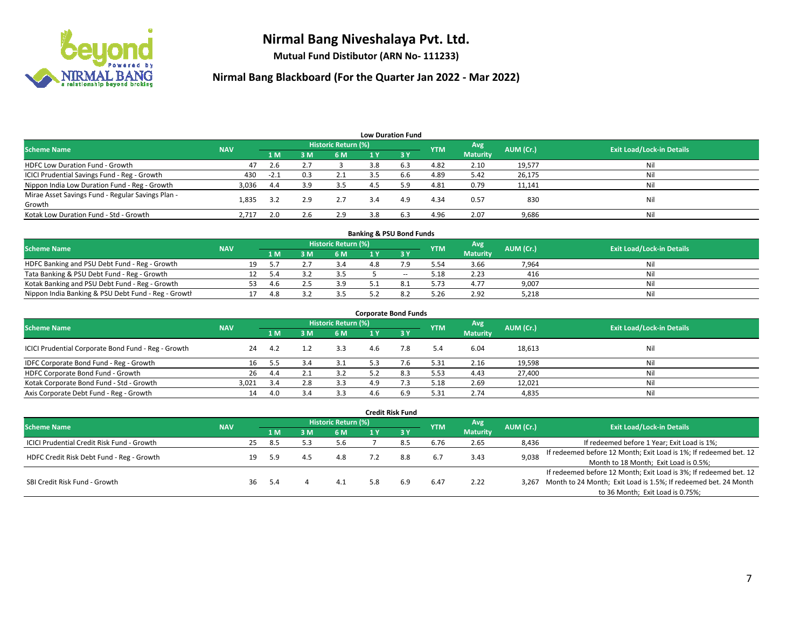

**Mutual Fund Distibutor (ARN No- 111233)**

| <b>Low Duration Fund</b>                          |            |        |                 |                     |     |                               |            |                 |           |                                  |  |  |  |
|---------------------------------------------------|------------|--------|-----------------|---------------------|-----|-------------------------------|------------|-----------------|-----------|----------------------------------|--|--|--|
| <b>Scheme Name</b>                                | <b>NAV</b> |        |                 | Historic Return (%) |     |                               | <b>YTM</b> | Avg             | AUM (Cr.) | <b>Exit Load/Lock-in Details</b> |  |  |  |
|                                                   |            | 1 M    | 3M              | 6 M                 | 1 Y | $\overline{3}$ $\overline{V}$ |            | <b>Maturity</b> |           |                                  |  |  |  |
| <b>HDFC Low Duration Fund - Growth</b>            | 47         | 2.6    | $\mathcal{L}$ . |                     | 3.8 | 6.3                           | 4.82       | 2.10            | 19,577    | Nil                              |  |  |  |
| ICICI Prudential Savings Fund - Reg - Growth      | 430        | $-2.1$ | 0.3             | 2.1                 | 3.5 | 6.6                           | 4.89       | 5.42            | 26,175    | Nil                              |  |  |  |
| Nippon India Low Duration Fund - Reg - Growth     | 3,036      | 4.4    | 3.9             | 3.5                 | 4.5 | 5.9                           | 4.81       | 0.79            | 11,141    | Nil                              |  |  |  |
| Mirae Asset Savings Fund - Regular Savings Plan - | 1,835      | 3.2    | 2.9             | 2.7                 | 3.4 | 4.9                           | 4.34       | 0.57            | 830       | Nil                              |  |  |  |
| Growth                                            |            |        |                 |                     |     |                               |            |                 |           |                                  |  |  |  |
| Kotak Low Duration Fund - Std - Growth            | 2,717      | 2.0    | 2.6             | 2.9                 | 3.8 |                               | 4.96       | 2.07            | 9,686     | Nil                              |  |  |  |

| <b>Banking &amp; PSU Bond Funds</b>                 |            |    |     |  |                     |     |        |            |                 |           |                                  |  |  |
|-----------------------------------------------------|------------|----|-----|--|---------------------|-----|--------|------------|-----------------|-----------|----------------------------------|--|--|
| <b>Scheme Name</b>                                  | <b>NAV</b> |    |     |  | Historic Return (%) |     |        | <b>YTM</b> | Avg             | AUM (Cr.) | <b>Exit Load/Lock-in Details</b> |  |  |
|                                                     |            |    | 1 M |  | 6 M                 |     |        |            | <b>Maturity</b> |           |                                  |  |  |
| HDFC Banking and PSU Debt Fund - Reg - Growth       |            | 19 | 55  |  | 3.4                 | 4.8 |        | 5.54       | 3.66            | 7,964     | Nil                              |  |  |
| Tata Banking & PSU Debt Fund - Reg - Growth         |            |    |     |  | 3.5                 |     | $\sim$ | 5.18       | 2.23            | 416       | Nil                              |  |  |
| Kotak Banking and PSU Debt Fund - Reg - Growth      |            | 53 | 4.6 |  | 3.9                 |     |        | 5.73       | 4.77            | 9,007     | Nil                              |  |  |
| Nippon India Banking & PSU Debt Fund - Reg - Growth |            |    | 4 R |  | 3.5                 |     |        | 5.26       | 2.92            | 5.218     | Nil                              |  |  |

| <b>Corporate Bond Funds</b>                         |            |     |     |                            |     |      |            |                        |           |                                  |  |
|-----------------------------------------------------|------------|-----|-----|----------------------------|-----|------|------------|------------------------|-----------|----------------------------------|--|
| <b>Scheme Name</b>                                  | <b>NAV</b> |     |     | <b>Historic Return (%)</b> |     |      | <b>YTM</b> | Avg<br><b>Maturity</b> | AUM (Cr.) | <b>Exit Load/Lock-in Details</b> |  |
|                                                     |            | 1 M | 3 M | 6 M                        | 1 Y | -3 Y |            |                        |           |                                  |  |
| ICICI Prudential Corporate Bond Fund - Reg - Growth | 24         | 4.2 |     | 3.3                        | 4.6 | 7.8  | 5.4        | 6.04                   | 18,613    | Nil                              |  |
| IDFC Corporate Bond Fund - Reg - Growth             | 16         | 5.5 |     | 3.1                        | 5.3 |      | 5.31       | 2.16                   | 19,598    | Nil                              |  |
| HDFC Corporate Bond Fund - Growth                   | 26         | 4.4 |     | 3.2                        |     | 8.3  | 5.53       | 4.43                   | 27,400    | Nil                              |  |
| Kotak Corporate Bond Fund - Std - Growth            | 3,021      | 3.4 |     | 3.3                        | 4.9 |      | 5.18       | 2.69                   | 12,021    | Nil                              |  |
| Axis Corporate Debt Fund - Reg - Growth             | 14         | 4.0 |     | 3.3                        |     | 6.9  | 5.31       | 2.74                   | 4,835     | Nil                              |  |

| <b>Credit Risk Fund</b>                           |            |    |      |     |                            |     |              |            |                 |           |                                                                       |
|---------------------------------------------------|------------|----|------|-----|----------------------------|-----|--------------|------------|-----------------|-----------|-----------------------------------------------------------------------|
| <b>Scheme Name</b>                                | <b>NAV</b> |    |      |     | <b>Historic Return (%)</b> |     |              |            | Avg             | AUM (Cr.) | <b>Exit Load/Lock-in Details</b>                                      |
|                                                   |            |    | 1 M  | 3 M | 6 M                        |     | $\sqrt{3}$ Y | <b>YTM</b> | <b>Maturity</b> |           |                                                                       |
| <b>ICICI Prudential Credit Risk Fund - Growth</b> |            | 25 | 8.5  |     | 5.6                        |     | 8.5          | 6.76       | 2.65            | 8,436     | If redeemed before 1 Year; Exit Load is 1%;                           |
| HDFC Credit Risk Debt Fund - Reg - Growth         |            | 19 | 5.9  | 4.5 | 4.8                        |     | 8.8          | 6.7        | 3.43            | 9,038     | If redeemed before 12 Month; Exit Load is 1%; If redeemed bet. 12     |
|                                                   |            |    |      |     |                            |     |              |            |                 |           | Month to 18 Month; Exit Load is 0.5%;                                 |
| SBI Credit Risk Fund - Growth                     |            |    |      |     |                            |     |              |            |                 |           | If redeemed before 12 Month; Exit Load is 3%; If redeemed bet. 12     |
|                                                   |            | 36 | -5.4 |     | 4.1                        | 5.8 | 6.9          | 6.47       | 2.22            |           | 3,267 Month to 24 Month; Exit Load is 1.5%; If redeemed bet. 24 Month |
|                                                   |            |    |      |     |                            |     |              |            |                 |           | to 36 Month; Exit Load is 0.75%;                                      |